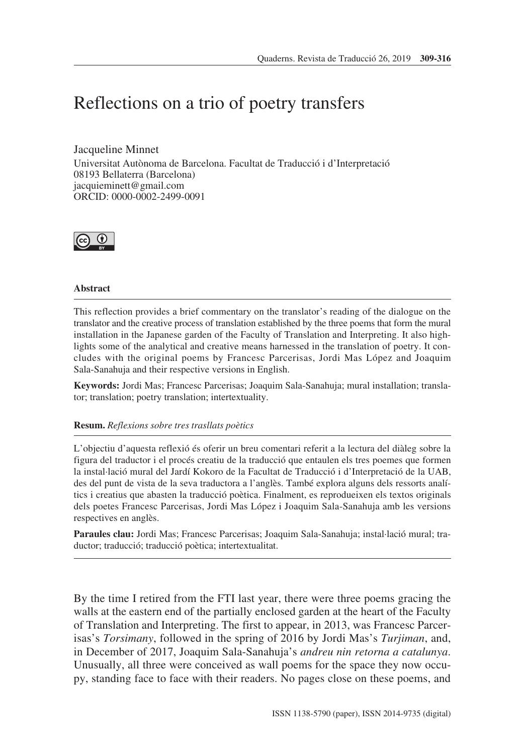# Reflections on a trio of poetry transfers

Jacqueline Minnet

Universitat Autònoma de Barcelona. Facultat de Traducció i d'Interpretació 08193 Bellaterra (Barcelona) jacquieminett@gmail.com ORCID: 0000-0002-2499-0091



# **Abstract**

This reflection provides a brief commentary on the translator's reading of the dialogue on the translator and the creative process of translation established by the three poems that form the mural installation in the Japanese garden of the Faculty of Translation and Interpreting. It also highlights some of the analytical and creative means harnessed in the translation of poetry. It concludes with the original poems by Francesc Parcerisas, Jordi Mas López and Joaquim Sala-Sanahuja and their respective versions in English.

**Keywords:** Jordi Mas; Francesc Parcerisas; Joaquim Sala-Sanahuja; mural installation; translator; translation; poetry translation; intertextuality.

# **Resum.** *Reflexions sobre tres trasllats poètics*

L'objectiu d'aquesta reflexió és oferir un breu comentari referit a la lectura del diàleg sobre la figura del traductor i el procés creatiu de la traducció que entaulen els tres poemes que formen la instal·lació mural del Jardí Kokoro de la Facultat de Traducció i d'Interpretació de la UAB, des del punt de vista de la seva traductora a l'anglès. També explora alguns dels ressorts analítics i creatius que abasten la traducció poètica. Finalment, es reprodueixen els textos originals dels poetes Francesc Parcerisas, Jordi Mas López i Joaquim Sala-Sanahuja amb les versions respectives en anglès.

**Paraules clau:** Jordi Mas; Francesc Parcerisas; Joaquim Sala-Sanahuja; instal·lació mural; traductor; traducció; traducció poètica; intertextualitat.

By the time I retired from the FTI last year, there were three poems gracing the walls at the eastern end of the partially enclosed garden at the heart of the Faculty of Translation and Interpreting. The first to appear, in 2013, was Francesc Parcerisas's *Torsimany*, followed in the spring of 2016 by Jordi Mas's *Turjiman*, and, in December of 2017, Joaquim Sala-Sanahuja's *andreu nin retorna a catalunya*. Unusually, all three were conceived as wall poems for the space they now occupy, standing face to face with their readers. No pages close on these poems, and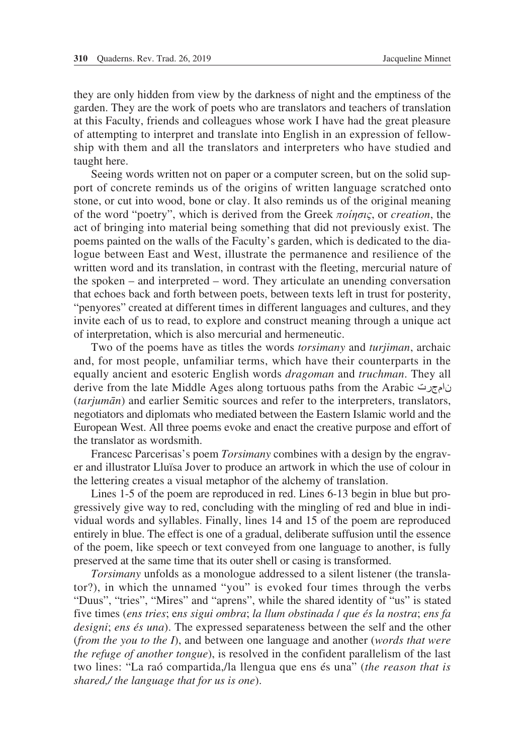they are only hidden from view by the darkness of night and the emptiness of the garden. They are the work of poets who are translators and teachers of translation at this Faculty, friends and colleagues whose work I have had the great pleasure of attempting to interpret and translate into English in an expression of fellowship with them and all the translators and interpreters who have studied and taught here.

Seeing words written not on paper or a computer screen, but on the solid support of concrete reminds us of the origins of written language scratched onto stone, or cut into wood, bone or clay. It also reminds us of the original meaning of the word "poetry", which is derived from the Greek *ποίησις*, or *creation*, the act of bringing into material being something that did not previously exist. The poems painted on the walls of the Faculty's garden, which is dedicated to the dialogue between East and West, illustrate the permanence and resilience of the written word and its translation, in contrast with the fleeting, mercurial nature of the spoken – and interpreted – word. They articulate an unending conversation that echoes back and forth between poets, between texts left in trust for posterity, "penyores" created at different times in different languages and cultures, and they invite each of us to read, to explore and construct meaning through a unique act of interpretation, which is also mercurial and hermeneutic.

Two of the poems have as titles the words *torsimany* and *turjiman*, archaic and, for most people, unfamiliar terms, which have their counterparts in the equally ancient and esoteric English words *dragoman* and *truchman*. They all derive from the late Middle Ages along tortuous paths from the Arabic نامجرت (*tarjumān*) and earlier Semitic sources and refer to the interpreters, translators, negotiators and diplomats who mediated between the Eastern Islamic world and the European West. All three poems evoke and enact the creative purpose and effort of the translator as wordsmith.

Francesc Parcerisas's poem *Torsimany* combines with a design by the engraver and illustrator Lluïsa Jover to produce an artwork in which the use of colour in the lettering creates a visual metaphor of the alchemy of translation.

Lines 1-5 of the poem are reproduced in red. Lines 6-13 begin in blue but progressively give way to red, concluding with the mingling of red and blue in individual words and syllables. Finally, lines 14 and 15 of the poem are reproduced entirely in blue. The effect is one of a gradual, deliberate suffusion until the essence of the poem, like speech or text conveyed from one language to another, is fully preserved at the same time that its outer shell or casing is transformed.

*Torsimany* unfolds as a monologue addressed to a silent listener (the translator?), in which the unnamed "you" is evoked four times through the verbs "Duus", "tries", "Mires" and "aprens", while the shared identity of "us" is stated five times (*ens tries*; e*ns sigui ombra*; *la llum obstinada* / *que és la nostra*; *ens fa designi*; *ens és una*). The expressed separateness between the self and the other (*from the you to the I*), and between one language and another (*words that were the refuge of another tongue*), is resolved in the confident parallelism of the last two lines: "La raó compartida,/la llengua que ens és una" (*the reason that is shared,/ the language that for us is one*).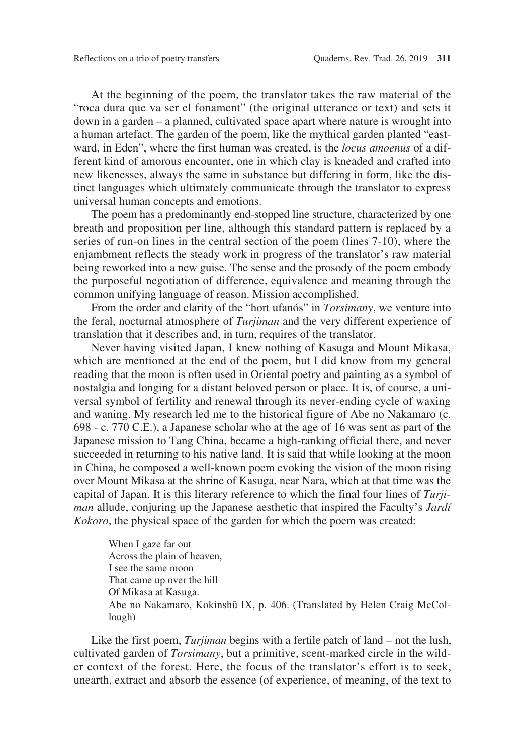At the beginning of the poem, the translator takes the raw material of the "roca dura que va ser el fonament" (the original utterance or text) and sets it down in a garden – a planned, cultivated space apart where nature is wrought into a human artefact. The garden of the poem, like the mythical garden planted "eastward, in Eden", where the first human was created, is the *locus amoenus* of a different kind of amorous encounter, one in which clay is kneaded and crafted into new likenesses, always the same in substance but differing in form, like the distinct languages which ultimately communicate through the translator to express universal human concepts and emotions.

The poem has a predominantly end-stopped line structure, characterized by one breath and proposition per line, although this standard pattern is replaced by a series of run-on lines in the central section of the poem (lines 7-10), where the enjambment reflects the steady work in progress of the translator's raw material being reworked into a new guise. The sense and the prosody of the poem embody the purposeful negotiation of difference, equivalence and meaning through the common unifying language of reason. Mission accomplished.

From the order and clarity of the "hort ufanós" in *Torsimany*, we venture into the feral, nocturnal atmosphere of *Turjiman* and the very different experience of translation that it describes and, in turn, requires of the translator.

Never having visited Japan, I knew nothing of Kasuga and Mount Mikasa, which are mentioned at the end of the poem, but I did know from my general reading that the moon is often used in Oriental poetry and painting as a symbol of nostalgia and longing for a distant beloved person or place. It is, of course, a universal symbol of fertility and renewal through its never-ending cycle of waxing and waning. My research led me to the historical figure of Abe no Nakamaro (c. 698 - c. 770 C.E.), a Japanese scholar who at the age of 16 was sent as part of the Japanese mission to Tang China, became a high-ranking official there, and never succeeded in returning to his native land. It is said that while looking at the moon in China, he composed a well-known poem evoking the vision of the moon rising over Mount Mikasa at the shrine of Kasuga, near Nara, which at that time was the capital of Japan. It is this literary reference to which the final four lines of *Turjiman* allude, conjuring up the Japanese aesthetic that inspired the Faculty's *Jardí Kokoro*, the physical space of the garden for which the poem was created:

When I gaze far out Across the plain of heaven, I see the same moon That came up over the hill Of Mikasa at Kasuga. Abe no Nakamaro, Kokinshū IX, p. 406. (Translated by Helen Craig McCollough)

Like the first poem, *Turjiman* begins with a fertile patch of land – not the lush, cultivated garden of *Torsimany*, but a primitive, scent-marked circle in the wilder context of the forest. Here, the focus of the translator's effort is to seek, unearth, extract and absorb the essence (of experience, of meaning, of the text to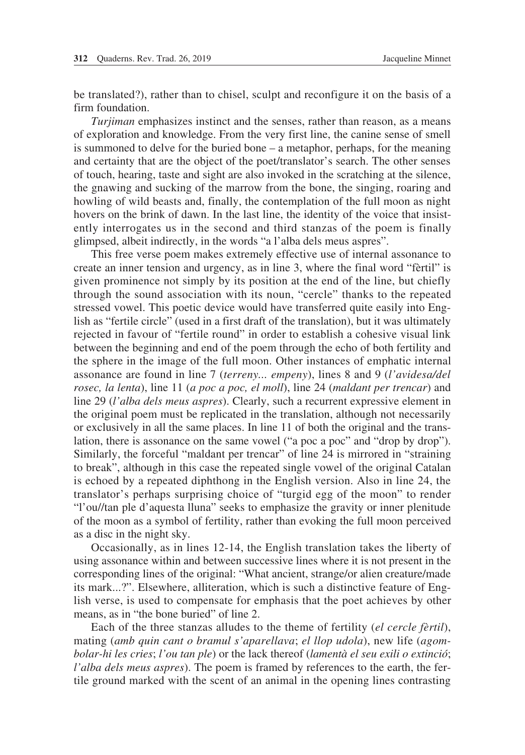be translated?), rather than to chisel, sculpt and reconfigure it on the basis of a firm foundation.

*Turjiman* emphasizes instinct and the senses, rather than reason, as a means of exploration and knowledge. From the very first line, the canine sense of smell is summoned to delve for the buried bone – a metaphor, perhaps, for the meaning and certainty that are the object of the poet/translator's search. The other senses of touch, hearing, taste and sight are also invoked in the scratching at the silence, the gnawing and sucking of the marrow from the bone, the singing, roaring and howling of wild beasts and, finally, the contemplation of the full moon as night hovers on the brink of dawn. In the last line, the identity of the voice that insistently interrogates us in the second and third stanzas of the poem is finally glimpsed, albeit indirectly, in the words "a l'alba dels meus aspres".

This free verse poem makes extremely effective use of internal assonance to create an inner tension and urgency, as in line 3, where the final word "fèrtil" is given prominence not simply by its position at the end of the line, but chiefly through the sound association with its noun, "cercle" thanks to the repeated stressed vowel. This poetic device would have transferred quite easily into English as "fertile circle" (used in a first draft of the translation), but it was ultimately rejected in favour of "fertile round" in order to establish a cohesive visual link between the beginning and end of the poem through the echo of both fertility and the sphere in the image of the full moon. Other instances of emphatic internal assonance are found in line 7 (*terreny... empeny*), lines 8 and 9 (*l'avidesa/del rosec, la lenta*), line 11 (*a poc a poc, el moll*), line 24 (*maldant per trencar*) and line 29 (*l'alba dels meus aspres*). Clearly, such a recurrent expressive element in the original poem must be replicated in the translation, although not necessarily or exclusively in all the same places. In line 11 of both the original and the translation, there is assonance on the same vowel ("a poc a poc" and "drop by drop"). Similarly, the forceful "maldant per trencar" of line 24 is mirrored in "straining to break", although in this case the repeated single vowel of the original Catalan is echoed by a repeated diphthong in the English version. Also in line 24, the translator's perhaps surprising choice of "turgid egg of the moon" to render "l'ou//tan ple d'aquesta lluna" seeks to emphasize the gravity or inner plenitude of the moon as a symbol of fertility, rather than evoking the full moon perceived as a disc in the night sky.

Occasionally, as in lines 12-14, the English translation takes the liberty of using assonance within and between successive lines where it is not present in the corresponding lines of the original: "What ancient, strange/or alien creature/made its mark...?". Elsewhere, alliteration, which is such a distinctive feature of English verse, is used to compensate for emphasis that the poet achieves by other means, as in "the bone buried" of line 2.

Each of the three stanzas alludes to the theme of fertility (*el cercle fèrtil*), mating (*amb quin cant o bramul s'aparellava*; *el llop udola*), new life (*agombolar-hi les cries*; *l'ou tan ple*) or the lack thereof (*lamentà el seu exili o extinció*; *l'alba dels meus aspres*). The poem is framed by references to the earth, the fertile ground marked with the scent of an animal in the opening lines contrasting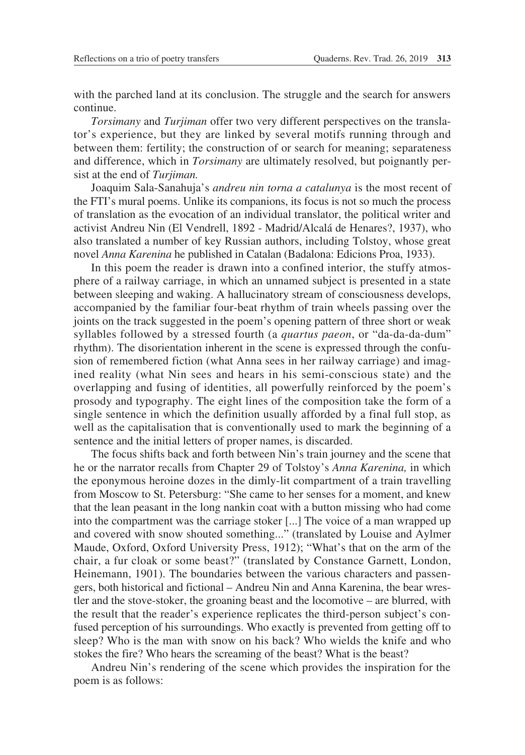with the parched land at its conclusion. The struggle and the search for answers continue.

*Torsimany* and *Turjiman* offer two very different perspectives on the translator's experience, but they are linked by several motifs running through and between them: fertility; the construction of or search for meaning; separateness and difference, which in *Torsimany* are ultimately resolved, but poignantly persist at the end of *Turjiman.*

Joaquim Sala-Sanahuja's *andreu nin torna a catalunya* is the most recent of the FTI's mural poems. Unlike its companions, its focus is not so much the process of translation as the evocation of an individual translator, the political writer and activist Andreu Nin (El Vendrell, 1892 - Madrid/Alcalá de Henares?, 1937), who also translated a number of key Russian authors, including Tolstoy, whose great novel *Anna Karenina* he published in Catalan (Badalona: Edicions Proa, 1933).

In this poem the reader is drawn into a confined interior, the stuffy atmosphere of a railway carriage, in which an unnamed subject is presented in a state between sleeping and waking. A hallucinatory stream of consciousness develops, accompanied by the familiar four-beat rhythm of train wheels passing over the joints on the track suggested in the poem's opening pattern of three short or weak syllables followed by a stressed fourth (a *quartus paeon*, or "da-da-da-dum" rhythm). The disorientation inherent in the scene is expressed through the confusion of remembered fiction (what Anna sees in her railway carriage) and imagined reality (what Nin sees and hears in his semi-conscious state) and the overlapping and fusing of identities, all powerfully reinforced by the poem's prosody and typography. The eight lines of the composition take the form of a single sentence in which the definition usually afforded by a final full stop, as well as the capitalisation that is conventionally used to mark the beginning of a sentence and the initial letters of proper names, is discarded.

The focus shifts back and forth between Nin's train journey and the scene that he or the narrator recalls from Chapter 29 of Tolstoy's *Anna Karenina,* in which the eponymous heroine dozes in the dimly-lit compartment of a train travelling from Moscow to St. Petersburg: "She came to her senses for a moment, and knew that the lean peasant in the long nankin coat with a button missing who had come into the compartment was the carriage stoker [...] The voice of a man wrapped up and covered with snow shouted something..." (translated by Louise and Aylmer Maude, Oxford, Oxford University Press, 1912); "What's that on the arm of the chair, a fur cloak or some beast?" (translated by Constance Garnett, London, Heinemann, 1901). The boundaries between the various characters and passengers, both historical and fictional – Andreu Nin and Anna Karenina, the bear wrestler and the stove-stoker, the groaning beast and the locomotive – are blurred, with the result that the reader's experience replicates the third-person subject's confused perception of his surroundings. Who exactly is prevented from getting off to sleep? Who is the man with snow on his back? Who wields the knife and who stokes the fire? Who hears the screaming of the beast? What is the beast?

Andreu Nin's rendering of the scene which provides the inspiration for the poem is as follows: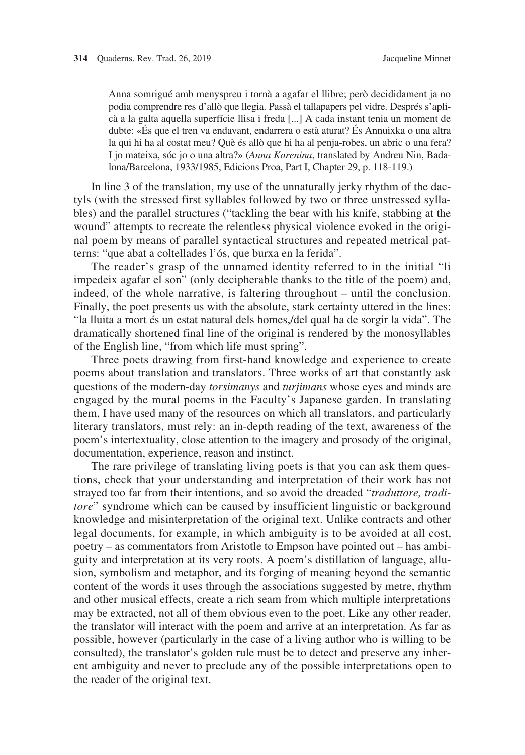Anna somrigué amb menyspreu i tornà a agafar el llibre; però decididament ja no podia comprendre res d'allò que llegia. Passà el tallapapers pel vidre. Després s'aplicà a la galta aquella superfície llisa i freda [...] A cada instant tenia un moment de dubte: «És que el tren va endavant, endarrera o està aturat? És Annuixka o una altra la qui hi ha al costat meu? Què és allò que hi ha al penja-robes, un abric o una fera? I jo mateixa, sóc jo o una altra?» (*Anna Karenina*, translated by Andreu Nin, Badalona/Barcelona, 1933/1985, Edicions Proa, Part I, Chapter 29, p. 118-119.)

In line 3 of the translation, my use of the unnaturally jerky rhythm of the dactyls (with the stressed first syllables followed by two or three unstressed syllables) and the parallel structures ("tackling the bear with his knife, stabbing at the wound" attempts to recreate the relentless physical violence evoked in the original poem by means of parallel syntactical structures and repeated metrical patterns: "que abat a coltellades l'ós, que burxa en la ferida".

The reader's grasp of the unnamed identity referred to in the initial "li impedeix agafar el son" (only decipherable thanks to the title of the poem) and, indeed, of the whole narrative, is faltering throughout – until the conclusion. Finally, the poet presents us with the absolute, stark certainty uttered in the lines: "la lluita a mort és un estat natural dels homes,/del qual ha de sorgir la vida". The dramatically shortened final line of the original is rendered by the monosyllables of the English line, "from which life must spring".

Three poets drawing from first-hand knowledge and experience to create poems about translation and translators. Three works of art that constantly ask questions of the modern-day *torsimanys* and *turjimans* whose eyes and minds are engaged by the mural poems in the Faculty's Japanese garden. In translating them, I have used many of the resources on which all translators, and particularly literary translators, must rely: an in-depth reading of the text, awareness of the poem's intertextuality, close attention to the imagery and prosody of the original, documentation, experience, reason and instinct.

The rare privilege of translating living poets is that you can ask them questions, check that your understanding and interpretation of their work has not strayed too far from their intentions, and so avoid the dreaded "*traduttore, traditore*" syndrome which can be caused by insufficient linguistic or background knowledge and misinterpretation of the original text. Unlike contracts and other legal documents, for example, in which ambiguity is to be avoided at all cost, poetry – as commentators from Aristotle to Empson have pointed out – has ambiguity and interpretation at its very roots. A poem's distillation of language, allusion, symbolism and metaphor, and its forging of meaning beyond the semantic content of the words it uses through the associations suggested by metre, rhythm and other musical effects, create a rich seam from which multiple interpretations may be extracted, not all of them obvious even to the poet. Like any other reader, the translator will interact with the poem and arrive at an interpretation. As far as possible, however (particularly in the case of a living author who is willing to be consulted), the translator's golden rule must be to detect and preserve any inherent ambiguity and never to preclude any of the possible interpretations open to the reader of the original text.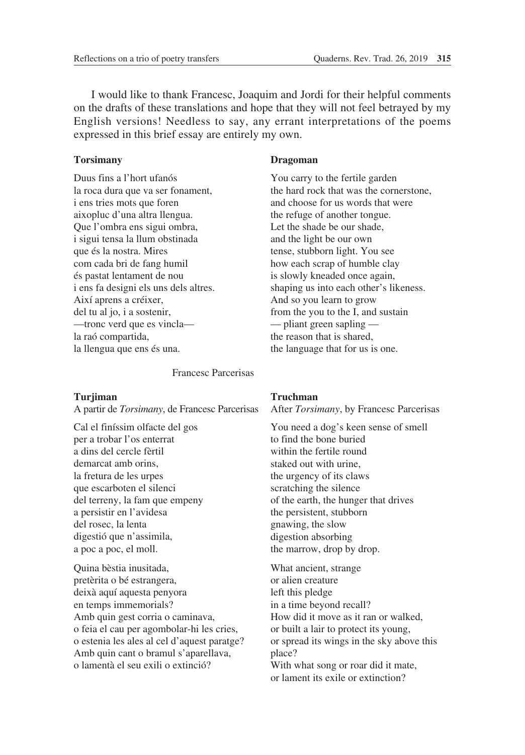I would like to thank Francesc, Joaquim and Jordi for their helpful comments on the drafts of these translations and hope that they will not feel betrayed by my English versions! Needless to say, any errant interpretations of the poems expressed in this brief essay are entirely my own.

## **Torsimany**

Duus fins a l'hort ufanós la roca dura que va ser fonament, i ens tries mots que foren aixopluc d'una altra llengua. Que l'ombra ens sigui ombra, i sigui tensa la llum obstinada que és la nostra. Mires com cada bri de fang humil és pastat lentament de nou i ens fa designi els uns dels altres. Així aprens a créixer, del tu al jo, i a sostenir, —tronc verd que es vincla la raó compartida, la llengua que ens és una.

Francesc Parcerisas

#### **Turjiman**

A partir de *Torsimany*, de Francesc Parcerisas

Cal el finíssim olfacte del gos per a trobar l'os enterrat a dins del cercle fèrtil demarcat amb orins la fretura de les urpes que escarboten el silenci del terreny, la fam que empeny a persistir en l'avidesa del rosec, la lenta digestió que n'assimila, a poc a poc, el moll.

Quina bèstia inusitada, pretèrita o bé estrangera, deixà aquí aquesta penyora en temps immemorials? Amb quin gest corria o caminava, o feia el cau per agombolar-hi les cries, o estenia les ales al cel d'aquest paratge? Amb quin cant o bramul s'aparellava, o lamentà el seu exili o extinció?

### **Dragoman**

You carry to the fertile garden the hard rock that was the cornerstone, and choose for us words that were the refuge of another tongue. Let the shade be our shade, and the light be our own tense, stubborn light. You see how each scrap of humble clay is slowly kneaded once again, shaping us into each other's likeness. And so you learn to grow from the you to the I, and sustain — pliant green sapling the reason that is shared, the language that for us is one.

# **Truchman**

After *Torsimany*, by Francesc Parcerisas

You need a dog's keen sense of smell to find the bone buried within the fertile round staked out with urine, the urgency of its claws scratching the silence of the earth, the hunger that drives the persistent, stubborn gnawing, the slow digestion absorbing the marrow, drop by drop.

What ancient, strange or alien creature left this pledge in a time beyond recall? How did it move as it ran or walked, or built a lair to protect its young, or spread its wings in the sky above this place? With what song or roar did it mate, or lament its exile or extinction?